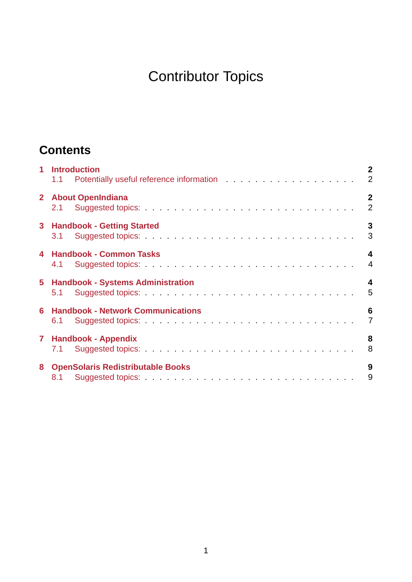# Contributor Topics

# **Contents**

|   | 1 Introduction<br>1.1 Potentially useful reference information 2 | $\overline{2}$                   |
|---|------------------------------------------------------------------|----------------------------------|
|   | 2 About OpenIndiana                                              | $\overline{2}$<br>$\overline{2}$ |
|   | 3 Handbook - Getting Started                                     | $\mathbf{3}$<br>3                |
|   | 4 Handbook - Common Tasks<br>4.1                                 | 4<br>$\overline{4}$              |
|   | <b>5 Handbook - Systems Administration</b>                       | 4<br>5                           |
| 6 | <b>Handbook - Network Communications</b>                         | 6<br>$\overline{7}$              |
|   | 7 Handbook - Appendix<br>7.1                                     | 8<br>8                           |
|   | 8 OpenSolaris Redistributable Books                              | 9<br>9                           |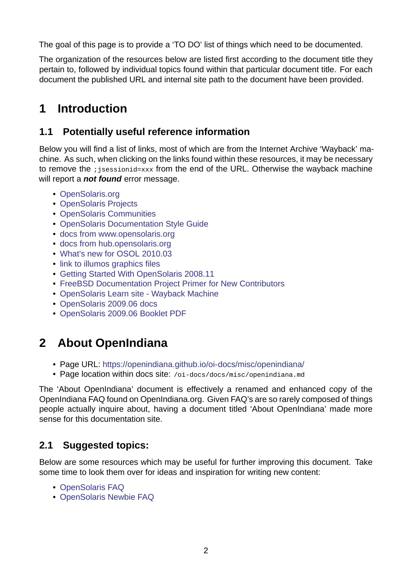The goal of this page is to provide a 'TO DO' list of things which need to be documented.

The organization of the resources below are listed first according to the document title they pertain to, followed by individual topics found within that particular document title. For each document the published URL and internal site path to the document have been provided.

# **1 Introduction**

### <span id="page-1-0"></span>**1.1 Potentially useful reference information**

<span id="page-1-1"></span>Below you will find a list of links, most of which are from the Internet Archive 'Wayback' machine. As such, when clicking on the links found within these resources, it may be necessary to remove the ; jsessionid=xxx from the end of the URL. Otherwise the wayback machine will report a *not found* error message.

- OpenSolaris.org
- OpenSolaris Projects
- OpenSolaris Communities
- [OpenSolaris Doc](https://web.archive.org/web/20090819174546/http://opensolaris.org/os/)umentation Style Guide
- [docs from www.opens](https://web.archive.org/web/20090817114142/http://opensolaris.org/os/projects#portal)olaris.org
- [docs from hub.opensolaris](https://web.archive.org/web/20090605190426/http://opensolaris.org/os/communities/#portal).org
- [What's new for OSOL 2010.03](https://web.archive.org/web/20081207155129/http://opensolaris.org/os/community/documentation/files/OSOLDOCSG.pdf)
- [link to illumos graphics files](https://web.archive.org/web/20090823064740/http://www.opensolaris.org/os/community/documentation/)
- [Getting Started With OpenSola](https://web.archive.org/web/20100909110451/http://hub.opensolaris.org/bin/view/Main/documentation)ris 2008.11
- [FreeBSD Documentation Proje](https://web.archive.org/web/20110702071619/http://cr.opensolaris.org/~gman/opensolaris-whats-new-2010-03)ct Primer for New Contributors
- OpenSolaris Learn site Wayback Machine
- [OpenSolaris 2009.06 docs](https://web.archive.org/web/20110904232819/http://dlc.sun.com/osol/docs/downloads/minibook/en/820-7102-10-Eng-doc.pdf)
- [OpenSolaris 2009.06 Booklet PDF](https://www.freebsd.org/doc/en_US.ISO8859-1/books/fdp-primer/)

# **2 [About OpenIndiana](https://web.archive.org/web/20100401024945/http://www.opensolaris.com/use/OpenSolaris200906Booklet.pdf)**

- <span id="page-1-2"></span>• Page URL: https://openindiana.github.io/oi-docs/misc/openindiana/
- Page location within docs site: /oi-docs/docs/misc/openindiana.md

The 'About OpenIndiana' document is effectively a renamed and enhanced copy of the OpenIndiana FA[Q found on OpenIndiana.org. Given FAQ's are so rarely c](https://openindiana.github.io/oi-docs/misc/openindiana/)omposed of things people actually inquire about, having a document titled 'About OpenIndiana' made more sense for this documentation site.

### **2.1 Suggested topics:**

<span id="page-1-3"></span>Below are some resources which may be useful for further improving this document. Take some time to look them over for ideas and inspiration for writing new content:

- OpenSolaris FAQ
- OpenSolaris Newbie FAQ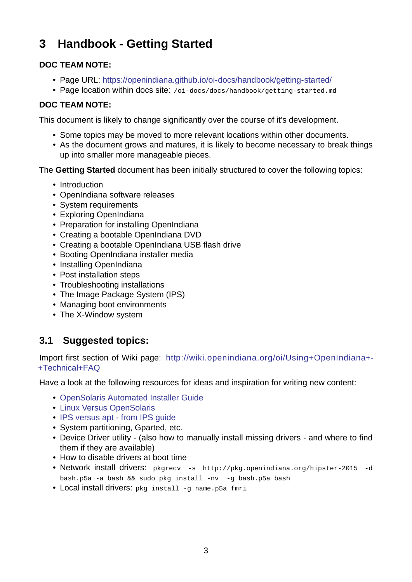# **3 Handbook Getting Started**

#### **DOC TEAM NOTE:**

- <span id="page-2-0"></span>• Page URL: https://openindiana.github.io/oi-docs/handbook/getting-started/
- Page location within docs site: /oi-docs/docs/handbook/getting-started.md

#### **DOC TEAM NOTE:**

This document is [likely to change significantly over the course of it's developmen](https://openindiana.github.io/oi-docs/handbook/getting-started/)t.

- Some topics may be moved to more relevant locations within other documents.
- As the document grows and matures, it is likely to become necessary to break things up into smaller more manageable pieces.

The **Getting Started** document has been initially structured to cover the following topics:

- Introduction
- OpenIndiana software releases
- System requirements
- Exploring OpenIndiana
- Preparation for installing OpenIndiana
- Creating a bootable OpenIndiana DVD
- Creating a bootable OpenIndiana USB flash drive
- Booting OpenIndiana installer media
- Installing OpenIndiana
- Post installation steps
- Troubleshooting installations
- The Image Package System (IPS)
- Managing boot environments
- The X-Window system

### **3.1 Suggested topics:**

<span id="page-2-1"></span>Import first section of Wiki page: http://wiki.openindiana.org/oi/Using+OpenIndiana+ +Technical+FAQ

Have a look at the following resources for ideas and inspiration for writing new content:

- [OpenSolari](http://wiki.openindiana.org/oi/Using+OpenIndiana+-+Technical+FAQ)s Automated Inst[aller Guide](http://wiki.openindiana.org/oi/Using+OpenIndiana+-+Technical+FAQ)
- Linux Versus OpenSolaris
- IPS versus apt from IPS guide
- [System partitioning, Gparted, etc.](https://web.archive.org/web/20100401021842/http://www.opensolaris.com/use/Auto_Installer.pdf)
- Device Driver utility (also how to manually install missing drivers and where to find [them if they are available\)](https://web.archive.org/web/20090924031858/http://dlc.sun.com/osol/docs/content/2009.06/IMGPACKAGESYS/giksz.html)
- How to disable drivers at boot time
- Network install drivers: pkgrecv -s http://pkg.openindiana.org/hipster-2015 -d bash.p5a -a bash && sudo pkg install -nv -g bash.p5a bash
- Local install drivers: pkg install q name.p5a fmri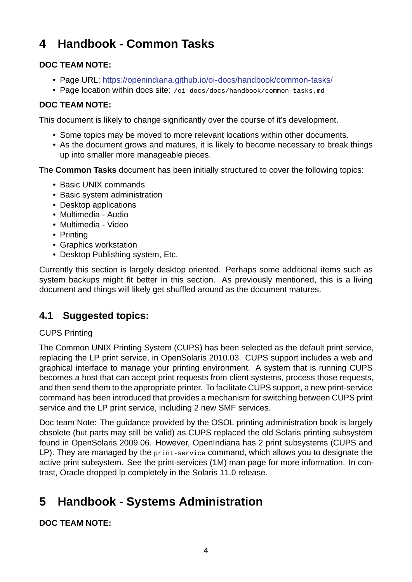# **4 Handbook Common Tasks**

#### **DOC TEAM NOTE:**

- <span id="page-3-0"></span>• Page URL: https://openindiana.github.io/oi-docs/handbook/common-tasks/
- Page location within docs site: /oi-docs/docs/handbook/common-tasks.md

#### **DOC TEAM NOTE:**

This document is [likely to change significantly over the course of it's developmen](https://openindiana.github.io/oi-docs/handbook/common-tasks/)t.

- Some topics may be moved to more relevant locations within other documents.
- As the document grows and matures, it is likely to become necessary to break things up into smaller more manageable pieces.

The **Common Tasks** document has been initially structured to cover the following topics:

- Basic UNIX commands
- Basic system administration
- Desktop applications
- Multimedia Audio
- Multimedia Video
- Printing
- Graphics workstation
- Desktop Publishing system, Etc.

Currently this section is largely desktop oriented. Perhaps some additional items such as system backups might fit better in this section. As previously mentioned, this is a living document and things will likely get shuffled around as the document matures.

### **4.1 Suggested topics:**

#### CUPS Printing

<span id="page-3-1"></span>The Common UNIX Printing System (CUPS) has been selected as the default print service, replacing the LP print service, in OpenSolaris 2010.03. CUPS support includes a web and graphical interface to manage your printing environment. A system that is running CUPS becomes a host that can accept print requests from client systems, process those requests, and then send them to the appropriate printer. To facilitate CUPS support, a new print-service command has been introduced that provides a mechanism for switching between CUPS print service and the LP print service, including 2 new SMF services.

Doc team Note: The guidance provided by the OSOL printing administration book is largely obsolete (but parts may still be valid) as CUPS replaced the old Solaris printing subsystem found in OpenSolaris 2009.06. However, OpenIndiana has 2 print subsystems (CUPS and LP). They are managed by the print-service command, which allows you to designate the active print subsystem. See the print-services (1M) man page for more information. In contrast, Oracle dropped lp completely in the Solaris 11.0 release.

# **5 Handbook - Systems Administration**

<span id="page-3-2"></span>**DOC TEAM NOTE:**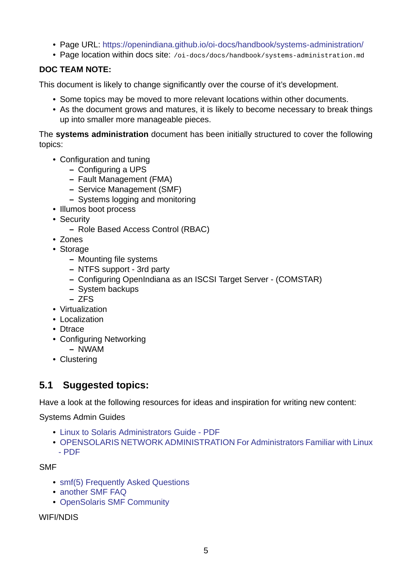- Page URL: https://openindiana.github.io/oi-docs/handbook/systems-administration/
- Page location within docs site: /oi-docs/docs/handbook/systems-administration.md

#### **DOC TEAM NOTE:**

This document is [likely to change significantly over the course of it's development.](https://openindiana.github.io/oi-docs/handbook/systems-administration/)

- Some topics may be moved to more relevant locations within other documents.
- As the document grows and matures, it is likely to become necessary to break things up into smaller more manageable pieces.

The **systems administration** document has been initially structured to cover the following topics:

- Configuration and tuning
	- **–** Configuring a UPS
	- **–** Fault Management (FMA)
	- **–** Service Management (SMF)
	- **–** Systems logging and monitoring
- Illumos boot process
- Security
	- **–** Role Based Access Control (RBAC)
- Zones
- Storage
	- **–** Mounting file systems
	- **–** NTFS support 3rd party
	- **–** Configuring OpenIndiana as an ISCSI Target Server (COMSTAR)
	- **–** System backups
	- **–** ZFS
- Virtualization
- Localization
- Dtrace
- Configuring Networking
	- **–** NWAM
- Clustering

### **5.1 Suggested topics:**

Have a look at the following resources for ideas and inspiration for writing new content:

<span id="page-4-0"></span>Systems Admin Guides

- Linux to Solaris Administrators Guide PDF
- OPENSOLARIS NETWORK ADMINISTRATION For Administrators Familiar with Linux  $-$  PDF

SMF

- [smf\(5\) Frequently Asked Questions](https://web.archive.org/web/20090806172933/http://www.opensolaris.com/use/network_administration.pdf)
- another SMF FAQ
- OpenSolaris SMF Community

WIFI/[NDIS](https://web.archive.org/web/20090603223153/http://opensolaris.org/os/community/smf/faq)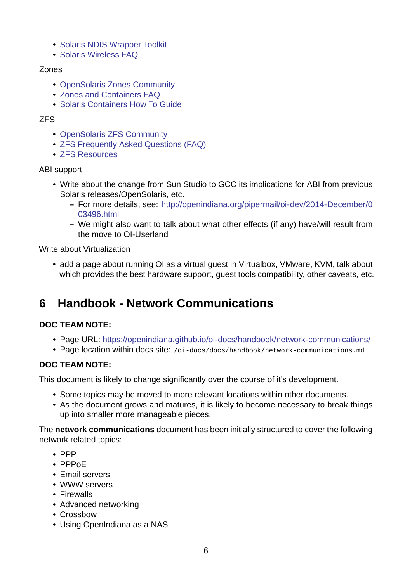- Solaris NDIS Wrapper Toolkit
- Solaris Wireless FAQ

#### Zones

- [OpenSolaris Zones C](https://web.archive.org/web/20100915214450/http://hub.opensolaris.org/bin/view/Community+Group+laptop/Solaris-wireless-faq)[ommuni](https://web.archive.org/web/20100818053307/http://hub.opensolaris.org/bin/view/Community+Group+laptop/ndis)ty
- Zones and Containers FAQ
- Solaris Containers How To Guide

#### ZFS

- [OpenSolaris ZFS Community](https://web.archive.org/web/20090228064414/http://www.sun.com/software/solaris/howtoguides/containersLowRes.jsp)
- ZFS Frequently Asked Questions (FAQ)
- ZFS Resources

#### ABI s[upport](https://web.archive.org/web/20091023025359/http://opensolaris.org/os/community/zfs/)

- [Write about the](https://web.archive.org/web/20100830060952/http://hub.opensolaris.org/bin/view/Community+Group+zfs/links) [change from Sun Studio](https://web.archive.org/web/20100904084608/http://hub.opensolaris.org/bin/view/Community+Group+zfs/faq) to GCC its implications for ABI from previous Solaris releases/OpenSolaris, etc.
	- **–** For more details, see: http://openindiana.org/pipermail/oi-dev/2014-December/0 03496.html
	- **–** We might also want to talk about what other effects (if any) have/will result from the move to OI-Userla[nd](http://openindiana.org/pipermail/oi-dev/2014-December/003496.html)

Write abo[ut Virtualizat](http://openindiana.org/pipermail/oi-dev/2014-December/003496.html)ion

• add a page about running OI as a virtual guest in Virtualbox, VMware, KVM, talk about which provides the best hardware support, guest tools compatibility, other caveats, etc.

# **6 Handbook Network Communications**

#### <span id="page-5-0"></span>**DOC TEAM NOTE:**

- Page URL: https://openindiana.github.io/oi-docs/handbook/network-communications/
- Page location within docs site: /oi-docs/docs/handbook/network-communications.md

#### **DOC TEAM NOTE:**

This document is [likely to change significantly over the course of it's development.](https://openindiana.github.io/oi-docs/handbook/network-communications/)

- Some topics may be moved to more relevant locations within other documents.
- As the document grows and matures, it is likely to become necessary to break things up into smaller more manageable pieces.

The **network communications** document has been initially structured to cover the following network related topics:

- PPP
- PPPoE
- Email servers
- WWW servers
- Firewalls
- Advanced networking
- Crossbow
- Using OpenIndiana as a NAS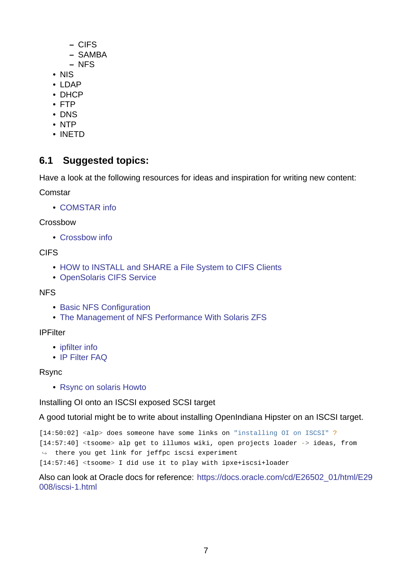- **–** CIFS
- **–** SAMBA
- **–** NFS
- NIS
- LDAP
- DHCP
- FTP
- DNS
- NTP
- INETD

### **6.1 Suggested topics:**

Have a look at the following resources for ideas and inspiration for writing new content:

<span id="page-6-0"></span>Comstar

• COMSTAR info

#### Crossbow

• [Crossbow info](http://web.archive.org/web/20090514083449/http://wikis.sun.com/display/OpenSolarisInfo/COMSTAR+Administration)

CIFS

- [HOW to INSTA](https://web.archive.org/web/20090719072357/http://www.opensolaris.org/os/project/crossbow)LL and SHARE a File System to CIFS Clients
- OpenSolaris CIFS Service

#### NFS

- [Basic NFS Configuration](https://web.archive.org/web/20100818225731/http://wiki.genunix.org/wiki/index.php/OpenSolaris_CIFS_Service)
- The Management of NFS Performance With Solaris ZFS

#### IPFilter

- [ipfilter info](https://web.archive.org/web/20090803174610/http://developers.sun.com/solaris/articles/nfs_zfs.html)
- IP Filter FAQ

#### Rsync

• [Rsync on sol](https://www.phildev.net/ipf/)aris Howto

Installing OI onto an ISCSI exposed SCSI target

A go[od tutorial might be to wr](https://web.archive.org/web/20100809145914/http://wiki.genunix.org/wiki/index.php/Rsync_on_Solaris_HOWTO)ite about installing OpenIndiana Hipster on an ISCSI target.

[14:50:02] <alp> does someone have some links on "installing OI on ISCSI" ? [14:57:40] <tsoome> alp get to illumos wiki, open projects loader -> ideas, from  $\leftrightarrow$  there you get link for jeffpc iscsi experiment [14:57:46] <tsoome> I did use it to play with ipxe+iscsi+loader

Also can look at Oracle docs for reference: https://docs.oracle.com/cd/E26502\_01/html/E29 008/iscsi-1.html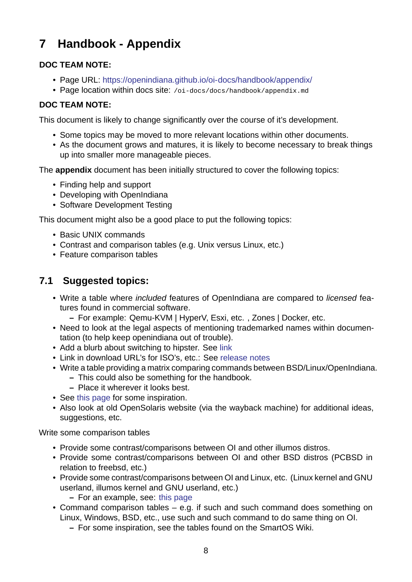# **7 Handbook Appendix**

#### **DOC TEAM NOTE:**

- <span id="page-7-0"></span>• Page URL: https://openindiana.github.io/oi-docs/handbook/appendix/
- Page location within docs site: /oi-docs/docs/handbook/appendix.md

#### **DOC TEAM NOTE:**

This document is [likely to change significantly over the course of it's develo](https://openindiana.github.io/oi-docs/handbook/appendix/)pment.

- Some topics may be moved to more relevant locations within other documents.
- As the document grows and matures, it is likely to become necessary to break things up into smaller more manageable pieces.

The **appendix** document has been initially structured to cover the following topics:

- Finding help and support
- Developing with OpenIndiana
- Software Development Testing

This document might also be a good place to put the following topics:

- Basic UNIX commands
- Contrast and comparison tables (e.g. Unix versus Linux, etc.)
- Feature comparison tables

### **7.1 Suggested topics:**

- <span id="page-7-1"></span>• Write a table where *included* features of OpenIndiana are compared to *licensed* features found in commercial software.
	- **–** For example: QemuKVM | HyperV, Esxi, etc. , Zones | Docker, etc.
- Need to look at the legal aspects of mentioning trademarked names within documentation (to help keep openindiana out of trouble).
- Add a blurb about switching to hipster. See link
- Link in download URL's for ISO's, etc.: See release notes
- Write a table providing a matrix comparing commands between BSD/Linux/OpenIndiana.
	- **–** This could also be something for the h[andb](http://wiki.openindiana.org/oi/Hipster#Hipster-switching)ook.
	- **–** Place it wherever it looks best.
- See this page for some inspiration.
- Also look at old OpenSolaris website (via the wayback machine) for additional ideas, suggestions, etc.

Write som[e compari](https://web.archive.org/web/20200807095415/https://wiki-bsse.ethz.ch/display/ITDOC/Major+difference+between+Linux+and+Solaris)son tables

- Provide some contrast/comparisons between OI and other illumos distros.
- Provide some contrast/comparisons between OI and other BSD distros (PCBSD in relation to freebsd, etc.)
- Provide some contrast/comparisons between OI and Linux, etc. (Linux kernel and GNU userland, illumos kernel and GNU userland, etc.)
	- **–** For an example, see: this page
- Command comparison tables e.g. if such and such command does something on Linux, Windows, BSD, etc., use such and such command to do same thing on OI.
	- **–** For some inspiration, [see the ta](https://web.archive.org/web/20090904201802/http://wikis.sun.com/display/SolarisDeveloper/Migrating+from+Linux+to+Solaris+or+OpenSolaris)bles found on the SmartOS Wiki.